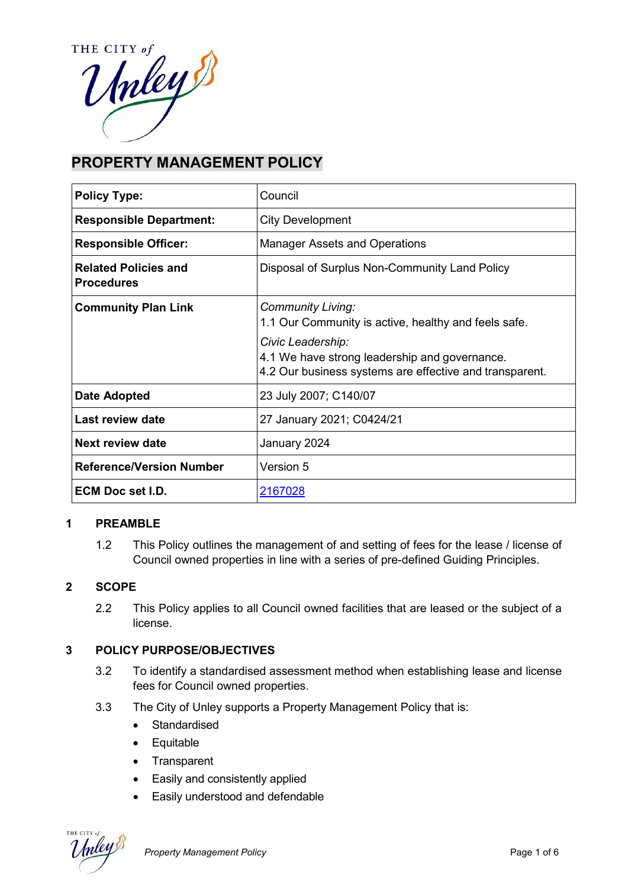THE CITY of THE CITY of

# **PROPERTY MANAGEMENT POLICY**

| <b>Policy Type:</b>                              | Council                                                                                                                       |  |
|--------------------------------------------------|-------------------------------------------------------------------------------------------------------------------------------|--|
| <b>Responsible Department:</b>                   | <b>City Development</b>                                                                                                       |  |
| <b>Responsible Officer:</b>                      | <b>Manager Assets and Operations</b>                                                                                          |  |
| <b>Related Policies and</b><br><b>Procedures</b> | Disposal of Surplus Non-Community Land Policy                                                                                 |  |
| <b>Community Plan Link</b>                       | <b>Community Living:</b><br>1.1 Our Community is active, healthy and feels safe.                                              |  |
|                                                  | Civic Leadership:<br>4.1 We have strong leadership and governance.<br>4.2 Our business systems are effective and transparent. |  |
| Date Adopted                                     | 23 July 2007; C140/07                                                                                                         |  |
| Last review date                                 | 27 January 2021; C0424/21                                                                                                     |  |
| Next review date                                 | January 2024                                                                                                                  |  |
| <b>Reference/Version Number</b>                  | <b>Version 5</b>                                                                                                              |  |
| <b>ECM Doc set I.D.</b>                          | 2167028                                                                                                                       |  |

# **1 PREAMBLE**

1.2 This Policy outlines the management of and setting of fees for the lease / license of Council owned properties in line with a series of pre-defined Guiding Principles.

### **2 SCOPE**

2.2 This Policy applies to all Council owned facilities that are leased or the subject of a license.

# **3 POLICY PURPOSE/OBJECTIVES**

- 3.2 To identify a standardised assessment method when establishing lease and license fees for Council owned properties.
- 3.3 The City of Unley supports a Property Management Policy that is:
	- Standardised
	- Equitable
	- Transparent
	- Easily and consistently applied
	- Easily understood and defendable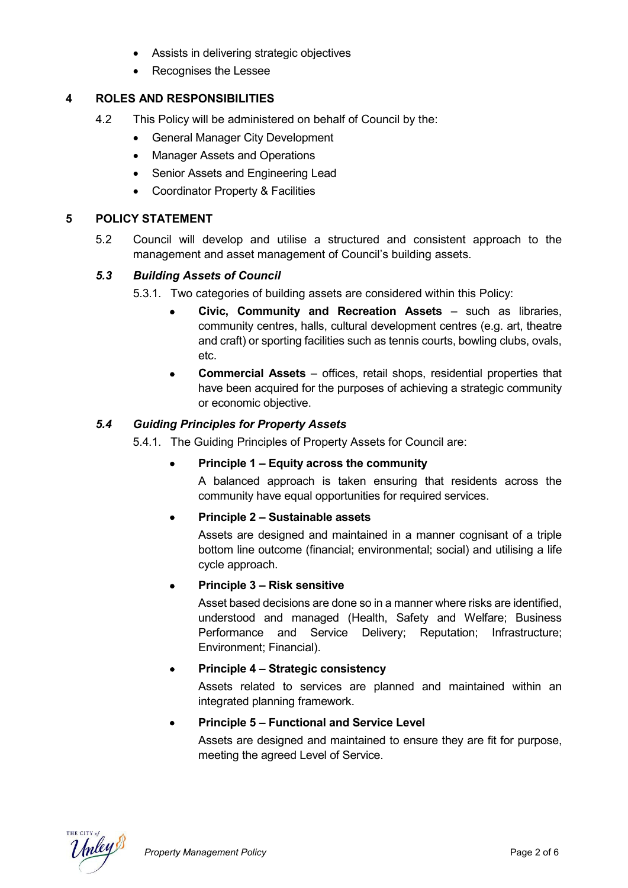- Assists in delivering strategic objectives
- Recognises the Lessee

# **4 ROLES AND RESPONSIBILITIES**

- 4.2 This Policy will be administered on behalf of Council by the:
	- General Manager City Development
	- Manager Assets and Operations
	- Senior Assets and Engineering Lead
	- Coordinator Property & Facilities

### **5 POLICY STATEMENT**

5.2 Council will develop and utilise a structured and consistent approach to the management and asset management of Council's building assets.

# *5.3 Building Assets of Council*

5.3.1. Two categories of building assets are considered within this Policy:

- **Civic, Community and Recreation Assets**  such as libraries, community centres, halls, cultural development centres (e.g. art, theatre and craft) or sporting facilities such as tennis courts, bowling clubs, ovals, etc.
- **Commercial Assets**  offices, retail shops, residential properties that have been acquired for the purposes of achieving a strategic community or economic objective.

### *5.4 Guiding Principles for Property Assets*

5.4.1. The Guiding Principles of Property Assets for Council are:

• **Principle 1 – Equity across the community**

A balanced approach is taken ensuring that residents across the community have equal opportunities for required services.

### • **Principle 2 – Sustainable assets**

Assets are designed and maintained in a manner cognisant of a triple bottom line outcome (financial; environmental; social) and utilising a life cycle approach.

### • **Principle 3 – Risk sensitive**

Asset based decisions are done so in a manner where risks are identified, understood and managed (Health, Safety and Welfare; Business Performance and Service Delivery; Reputation; Infrastructure; Environment; Financial).

### • **Principle 4 – Strategic consistency**

Assets related to services are planned and maintained within an integrated planning framework.

### • **Principle 5 – Functional and Service Level**

Assets are designed and maintained to ensure they are fit for purpose, meeting the agreed Level of Service.

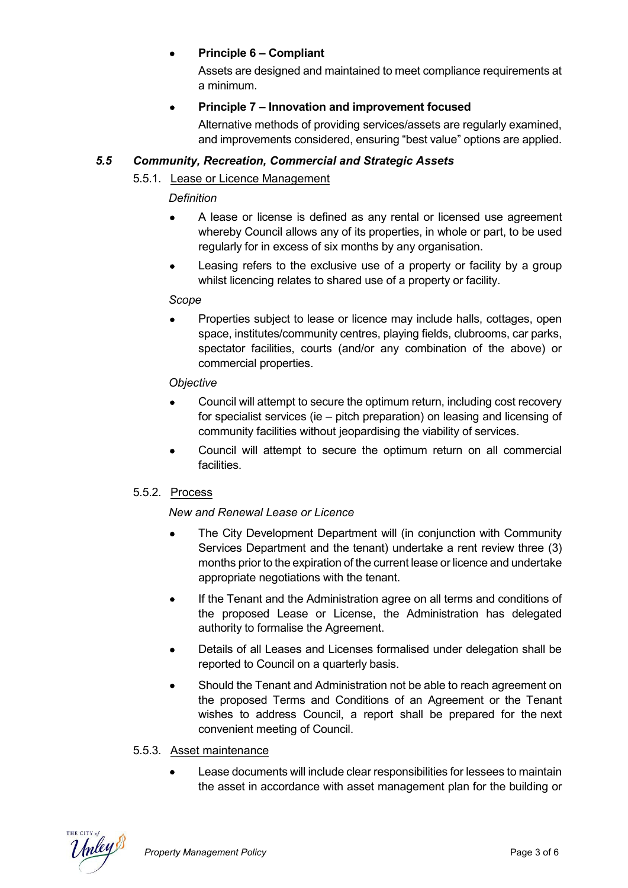# • **Principle 6 – Compliant**

Assets are designed and maintained to meet compliance requirements at a minimum.

# • **Principle 7 – Innovation and improvement focused**

Alternative methods of providing services/assets are regularly examined, and improvements considered, ensuring "best value" options are applied.

# *5.5 Community, Recreation, Commercial and Strategic Assets*

# 5.5.1. Lease or Licence Management

# *Definition*

- A lease or license is defined as any rental or licensed use agreement whereby Council allows any of its properties, in whole or part, to be used regularly for in excess of six months by any organisation.
- Leasing refers to the exclusive use of a property or facility by a group whilst licencing relates to shared use of a property or facility.

### *Scope*

• Properties subject to lease or licence may include halls, cottages, open space, institutes/community centres, playing fields, clubrooms, car parks, spectator facilities, courts (and/or any combination of the above) or commercial properties.

# *Objective*

- Council will attempt to secure the optimum return, including cost recovery for specialist services (ie – pitch preparation) on leasing and licensing of community facilities without jeopardising the viability of services.
- Council will attempt to secure the optimum return on all commercial facilities.

# 5.5.2. Process

# *New and Renewal Lease or Licence*

- The City Development Department will (in conjunction with Community Services Department and the tenant) undertake a rent review three (3) months prior to the expiration of the current lease or licence and undertake appropriate negotiations with the tenant.
- If the Tenant and the Administration agree on all terms and conditions of the proposed Lease or License, the Administration has delegated authority to formalise the Agreement.
- Details of all Leases and Licenses formalised under delegation shall be reported to Council on a quarterly basis.
- Should the Tenant and Administration not be able to reach agreement on the proposed Terms and Conditions of an Agreement or the Tenant wishes to address Council, a report shall be prepared for the next convenient meeting of Council.

# 5.5.3. Asset maintenance

• Lease documents will include clear responsibilities for lessees to maintain the asset in accordance with asset management plan for the building or

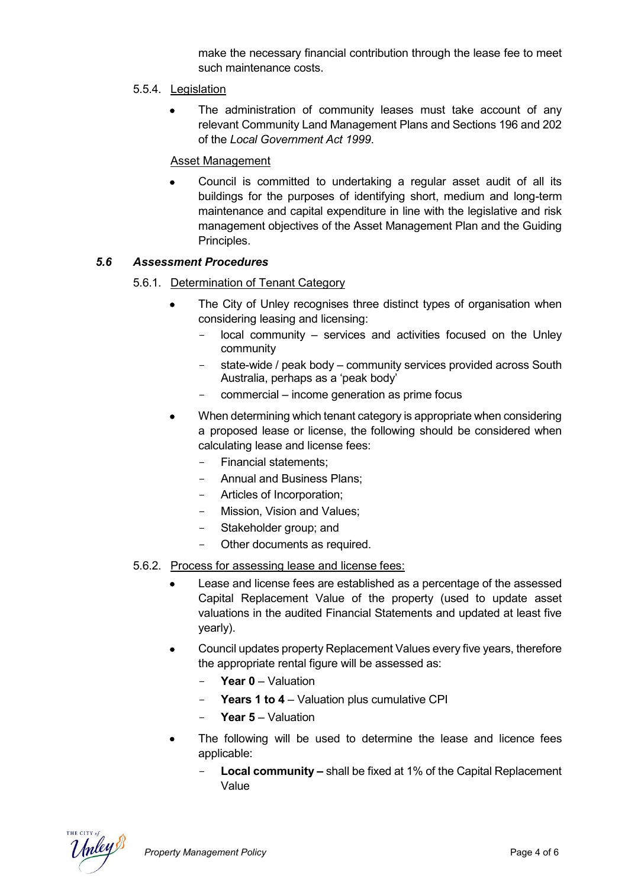make the necessary financial contribution through the lease fee to meet such maintenance costs.

# 5.5.4. Legislation

The administration of community leases must take account of any relevant Community Land Management Plans and Sections 196 and 202 of the *Local Government Act 1999*.

# Asset Management

• Council is committed to undertaking a regular asset audit of all its buildings for the purposes of identifying short, medium and long-term maintenance and capital expenditure in line with the legislative and risk management objectives of the Asset Management Plan and the Guiding Principles.

### *5.6 Assessment Procedures*

- 5.6.1. Determination of Tenant Category
	- The City of Unley recognises three distinct types of organisation when considering leasing and licensing:
		- local community services and activities focused on the Unley community
		- state-wide / peak body community services provided across South Australia, perhaps as a 'peak body'
		- commercial income generation as prime focus
	- When determining which tenant category is appropriate when considering a proposed lease or license, the following should be considered when calculating lease and license fees:
		- Financial statements;
		- Annual and Business Plans;
		- Articles of Incorporation;
		- Mission, Vision and Values;
		- Stakeholder group; and
		- Other documents as required.
- 5.6.2. Process for assessing lease and license fees:
	- Lease and license fees are established as a percentage of the assessed Capital Replacement Value of the property (used to update asset valuations in the audited Financial Statements and updated at least five yearly).
	- Council updates property Replacement Values every five years, therefore the appropriate rental figure will be assessed as:
		- Year 0 Valuation
		- **Years 1 to 4**  Valuation plus cumulative CPI
		- **Year 5**  Valuation
	- The following will be used to determine the lease and licence fees applicable:
		- **Local community –** shall be fixed at 1% of the Capital Replacement Value

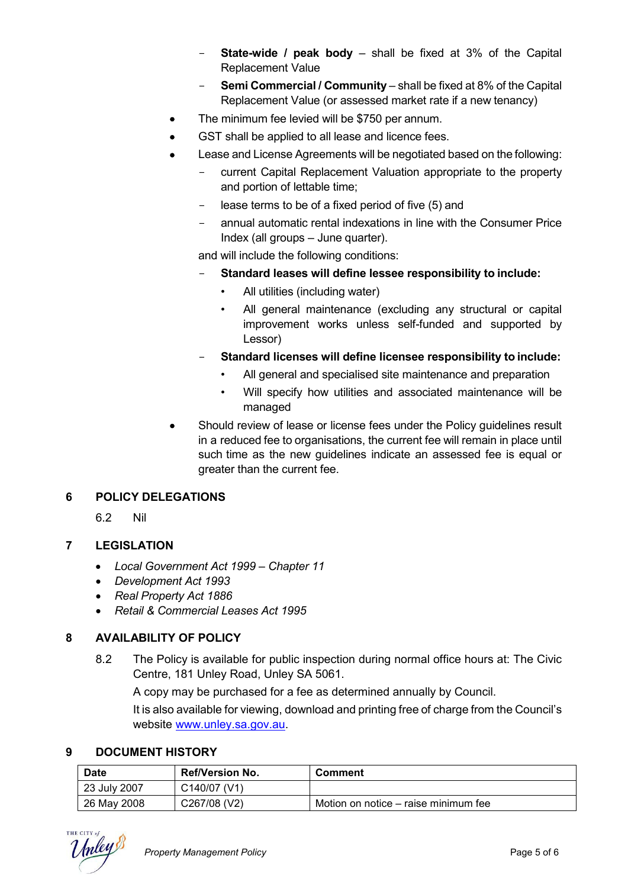- **State-wide / peak body**  shall be fixed at 3% of the Capital Replacement Value
- **Semi Commercial / Community** shall be fixed at 8% of the Capital Replacement Value (or assessed market rate if a new tenancy)
- The minimum fee levied will be \$750 per annum.
- GST shall be applied to all lease and licence fees.
- Lease and License Agreements will be negotiated based on the following:
	- current Capital Replacement Valuation appropriate to the property and portion of lettable time;
	- lease terms to be of a fixed period of five (5) and
	- annual automatic rental indexations in line with the Consumer Price Index (all groups – June quarter).

and will include the following conditions:

- **Standard leases will define lessee responsibility to include:**
	- All utilities (including water)
	- All general maintenance (excluding any structural or capital improvement works unless self-funded and supported by Lessor)
- **Standard licenses will define licensee responsibility to include:**
	- All general and specialised site maintenance and preparation
	- Will specify how utilities and associated maintenance will be managed
- Should review of lease or license fees under the Policy guidelines result in a reduced fee to organisations, the current fee will remain in place until such time as the new guidelines indicate an assessed fee is equal or greater than the current fee.

# **6 POLICY DELEGATIONS**

6.2 Nil

# **7 LEGISLATION**

- *Local Government Act 1999 – Chapter 11*
- *Development Act 1993*
- *Real Property Act 1886*
- *Retail & Commercial Leases Act 1995*

# **8 AVAILABILITY OF POLICY**

8.2 The Policy is available for public inspection during normal office hours at: The Civic Centre, 181 Unley Road, Unley SA 5061.

A copy may be purchased for a fee as determined annually by Council.

It is also available for viewing, download and printing free of charge from the Council's website www.unley.sa.gov.au.

# **9 DOCUMENT HISTORY**

| <b>Date</b>  | <b>Ref/Version No.</b> | <b>Comment</b>                       |
|--------------|------------------------|--------------------------------------|
| 23 July 2007 | C140/07 (V1)           |                                      |
| 26 May 2008  | C267/08 (V2)           | Motion on notice – raise minimum fee |